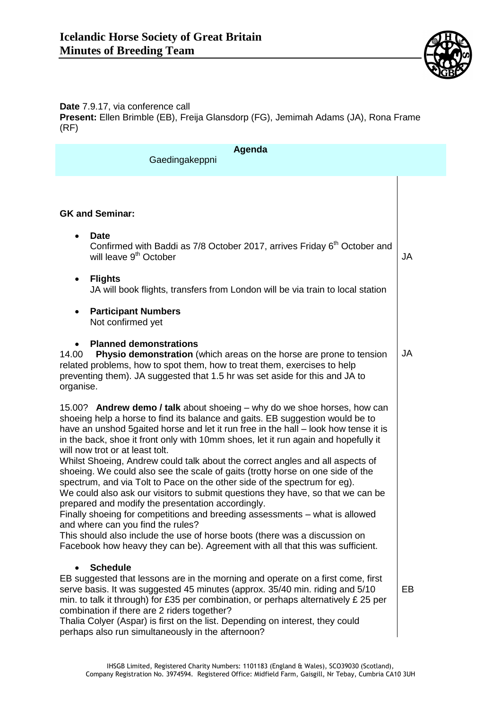

## **Date** 7.9.17, via conference call **Present:** Ellen Brimble (EB), Freija Glansdorp (FG), Jemimah Adams (JA), Rona Frame (RF)

| Agenda<br>Gaedingakeppni                                                                                                                                                                                                                                                                                                                                                                                                                                                                                                                                                                                                                                                                                                                                                                                                                                                                                                                                                                                                                             |           |
|------------------------------------------------------------------------------------------------------------------------------------------------------------------------------------------------------------------------------------------------------------------------------------------------------------------------------------------------------------------------------------------------------------------------------------------------------------------------------------------------------------------------------------------------------------------------------------------------------------------------------------------------------------------------------------------------------------------------------------------------------------------------------------------------------------------------------------------------------------------------------------------------------------------------------------------------------------------------------------------------------------------------------------------------------|-----------|
|                                                                                                                                                                                                                                                                                                                                                                                                                                                                                                                                                                                                                                                                                                                                                                                                                                                                                                                                                                                                                                                      |           |
| <b>GK and Seminar:</b>                                                                                                                                                                                                                                                                                                                                                                                                                                                                                                                                                                                                                                                                                                                                                                                                                                                                                                                                                                                                                               |           |
| <b>Date</b><br>$\bullet$<br>Confirmed with Baddi as 7/8 October 2017, arrives Friday 6 <sup>th</sup> October and<br>will leave 9 <sup>th</sup> October                                                                                                                                                                                                                                                                                                                                                                                                                                                                                                                                                                                                                                                                                                                                                                                                                                                                                               | <b>JA</b> |
| <b>Flights</b><br>$\bullet$<br>JA will book flights, transfers from London will be via train to local station                                                                                                                                                                                                                                                                                                                                                                                                                                                                                                                                                                                                                                                                                                                                                                                                                                                                                                                                        |           |
| <b>Participant Numbers</b><br>$\bullet$<br>Not confirmed yet                                                                                                                                                                                                                                                                                                                                                                                                                                                                                                                                                                                                                                                                                                                                                                                                                                                                                                                                                                                         |           |
| <b>Planned demonstrations</b><br>Physio demonstration (which areas on the horse are prone to tension<br>14.00<br>related problems, how to spot them, how to treat them, exercises to help<br>preventing them). JA suggested that 1.5 hr was set aside for this and JA to<br>organise.                                                                                                                                                                                                                                                                                                                                                                                                                                                                                                                                                                                                                                                                                                                                                                | <b>JA</b> |
| 15.00? Andrew demo / talk about shoeing - why do we shoe horses, how can<br>shoeing help a horse to find its balance and gaits. EB suggestion would be to<br>have an unshod 5gaited horse and let it run free in the hall – look how tense it is<br>in the back, shoe it front only with 10mm shoes, let it run again and hopefully it<br>will now trot or at least tolt.<br>Whilst Shoeing, Andrew could talk about the correct angles and all aspects of<br>shoeing. We could also see the scale of gaits (trotty horse on one side of the<br>spectrum, and via Tolt to Pace on the other side of the spectrum for eg).<br>We could also ask our visitors to submit questions they have, so that we can be<br>prepared and modify the presentation accordingly.<br>Finally shoeing for competitions and breeding assessments - what is allowed<br>and where can you find the rules?<br>This should also include the use of horse boots (there was a discussion on<br>Facebook how heavy they can be). Agreement with all that this was sufficient. |           |
| <b>Schedule</b><br>EB suggested that lessons are in the morning and operate on a first come, first<br>serve basis. It was suggested 45 minutes (approx. 35/40 min. riding and 5/10<br>min. to talk it through) for £35 per combination, or perhaps alternatively £25 per<br>combination if there are 2 riders together?<br>Thalia Colyer (Aspar) is first on the list. Depending on interest, they could<br>perhaps also run simultaneously in the afternoon?                                                                                                                                                                                                                                                                                                                                                                                                                                                                                                                                                                                        | EB        |